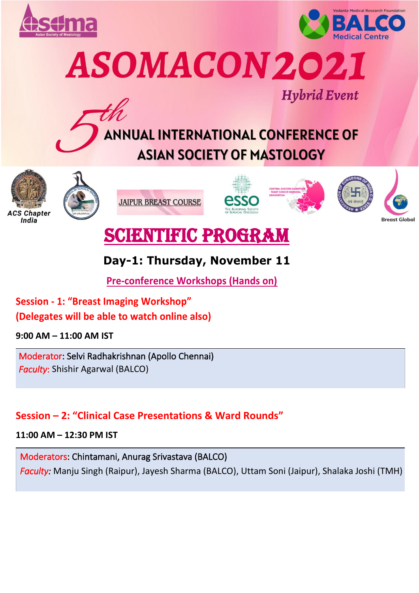



ASOMACON 2021















# SCIENTIFIC PROGRAM

# **Day-1: Thursday, November 11**

**Pre-conference Workshops (Hands on)**

**Session - 1: "Breast Imaging Workshop" (Delegates will be able to watch online also)** 

**9:00 AM – 11:00 AM IST**

Moderator: Selvi Radhakrishnan (Apollo Chennai) *Faculty*: Shishir Agarwal (BALCO)

# **Session – 2: "Clinical Case Presentations & Ward Rounds"**

**11:00 AM – 12:30 PM IST**

Moderators: Chintamani, Anurag Srivastava (BALCO) *Faculty:* Manju Singh (Raipur), Jayesh Sharma (BALCO), Uttam Soni (Jaipur), Shalaka Joshi (TMH)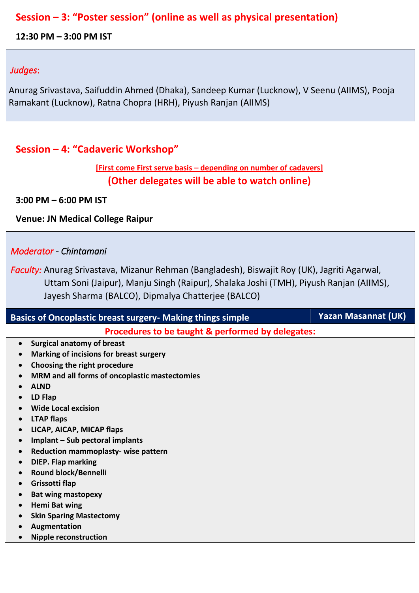### **Session – 3: "Poster session" (online as well as physical presentation)**

**12:30 PM – 3:00 PM IST**

#### *Judges*:

Anurag Srivastava, Saifuddin Ahmed (Dhaka), Sandeep Kumar (Lucknow), V Seenu (AIIMS), Pooja Ramakant (Lucknow), Ratna Chopra (HRH), Piyush Ranjan (AIIMS)

### **Session – 4: "Cadaveric Workshop"**

#### **[First come First serve basis – depending on number of cadavers] (Other delegates will be able to watch online)**

**3:00 PM – 6:00 PM IST** 

**Venue: JN Medical College Raipur**

#### *Moderator - Chintamani*

*Faculty:* Anurag Srivastava, Mizanur Rehman (Bangladesh), Biswajit Roy (UK), Jagriti Agarwal, Uttam Soni (Jaipur), Manju Singh (Raipur), Shalaka Joshi (TMH), Piyush Ranjan (AIIMS), Jayesh Sharma (BALCO), Dipmalya Chatterjee (BALCO)

| <b>Basics of Oncoplastic breast surgery- Making things simple</b> | <b>Yazan Masannat (UK)</b> |
|-------------------------------------------------------------------|----------------------------|
| Procedures to be taught & performed by delegates:                 |                            |
| <b>Surgical anatomy of breast</b><br>$\bullet$                    |                            |
| Marking of incisions for breast surgery                           |                            |
| Choosing the right procedure                                      |                            |
| MRM and all forms of oncoplastic mastectomies                     |                            |
| <b>ALND</b>                                                       |                            |
| LD Flap                                                           |                            |
| <b>Wide Local excision</b>                                        |                            |
| <b>LTAP flaps</b><br>$\bullet$                                    |                            |
| LICAP, AICAP, MICAP flaps                                         |                            |
| Implant - Sub pectoral implants                                   |                            |
| Reduction mammoplasty-wise pattern                                |                            |
| <b>DIEP. Flap marking</b>                                         |                            |
| Round block/Bennelli                                              |                            |
| Grissotti flap                                                    |                            |
| <b>Bat wing mastopexy</b>                                         |                            |
| <b>Hemi Bat wing</b>                                              |                            |
| <b>Skin Sparing Mastectomy</b>                                    |                            |
| Augmentation                                                      |                            |
| <b>Nipple reconstruction</b>                                      |                            |
|                                                                   |                            |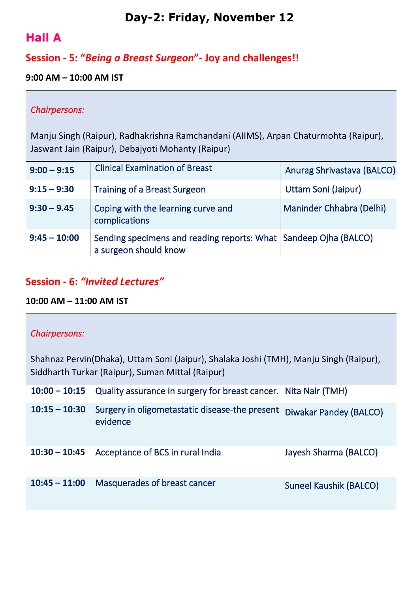# **Day-2: Friday, November 12**

# **Hall A**

# **Session - 5: "***Being a Breast Surgeon***"- Joy and challenges!!**

#### **9:00 AM – 10:00 AM IST**

#### *Chairpersons:*

Manju Singh (Raipur), Radhakrishna Ramchandani (AIIMS), Arpan Chaturmohta (Raipur), Jaswant Jain (Raipur), Debajyoti Mohanty (Raipur)

| $9:00 - 9:15$  | <b>Clinical Examination of Breast</b>                                                       | Anurag Shrivastava (BALCO) |
|----------------|---------------------------------------------------------------------------------------------|----------------------------|
| $9:15 - 9:30$  | <b>Training of a Breast Surgeon</b>                                                         | Uttam Soni (Jaipur)        |
| $9:30 - 9.45$  | Coping with the learning curve and<br>complications                                         | Maninder Chhabra (Delhi)   |
| $9:45 - 10:00$ | Sending specimens and reading reports: What   Sandeep Ojha (BALCO)<br>a surgeon should know |                            |

### **Session - 6:** *"Invited Lectures"*

#### **10:00 AM – 11:00 AM IST**

#### *Chairpersons:*

Shahnaz Pervin(Dhaka), Uttam Soni (Jaipur), Shalaka Joshi (TMH), Manju Singh (Raipur), Siddharth Turkar (Raipur), Suman Mittal (Raipur)

|                 | 10:00 - 10:15 Quality assurance in surgery for breast cancer. Nita Nair (TMH) |                               |
|-----------------|-------------------------------------------------------------------------------|-------------------------------|
| $10:15 - 10:30$ | Surgery in oligometastatic disease-the present<br>evidence                    | Diwakar Pandey (BALCO)        |
| $10:30 - 10:45$ | Acceptance of BCS in rural India                                              | Jayesh Sharma (BALCO)         |
| $10:45 - 11:00$ | Masquerades of breast cancer                                                  | <b>Suneel Kaushik (BALCO)</b> |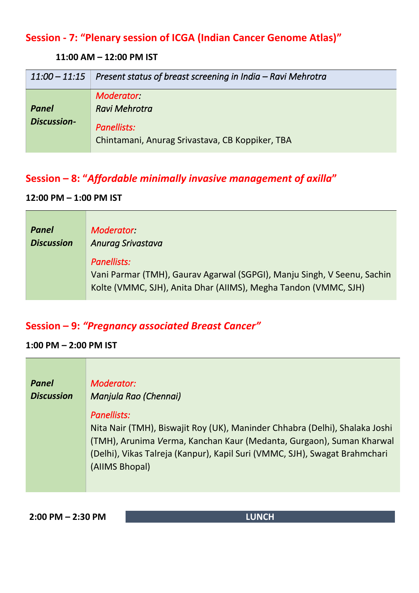# **Session - 7: "Plenary session of ICGA (Indian Cancer Genome Atlas)"**

#### **11:00 AM – 12:00 PM IST**

| $11:00 - 11:15$                    | Present status of breast screening in India – Ravi Mehrotra                                         |
|------------------------------------|-----------------------------------------------------------------------------------------------------|
| <b>Panel</b><br><b>Discussion-</b> | <b>Moderator</b><br>Ravi Mehrotra<br>Panellists:<br>Chintamani, Anurag Srivastava, CB Koppiker, TBA |

# **Session – 8: "***Affordable minimally invasive management of axilla***"**

### **12:00 PM – 1:00 PM IST**

| <b>Panel</b>      | Moderator:                                                                                                                                                |
|-------------------|-----------------------------------------------------------------------------------------------------------------------------------------------------------|
| <b>Discussion</b> | <b>Anurag Srivastava</b>                                                                                                                                  |
|                   | Panellists:<br>Vani Parmar (TMH), Gaurav Agarwal (SGPGI), Manju Singh, V Seenu, Sachin<br>Kolte (VMMC, SJH), Anita Dhar (AllMS), Megha Tandon (VMMC, SJH) |

# **Session – 9:** *"Pregnancy associated Breast Cancer"*

#### **1:00 PM – 2:00 PM IST**

| <b>Panel</b>      | Moderator:                                                                                                                                                                                                                                                         |
|-------------------|--------------------------------------------------------------------------------------------------------------------------------------------------------------------------------------------------------------------------------------------------------------------|
| <b>Discussion</b> | Manjula Rao (Chennai)                                                                                                                                                                                                                                              |
|                   | Panellists:<br>Nita Nair (TMH), Biswajit Roy (UK), Maninder Chhabra (Delhi), Shalaka Joshi<br>(TMH), Arunima Verma, Kanchan Kaur (Medanta, Gurgaon), Suman Kharwal<br>(Delhi), Vikas Talreja (Kanpur), Kapil Suri (VMMC, SJH), Swagat Brahmchari<br>(AllMS Bhopal) |

**2:00 PM – 2:30 PM LUNCH**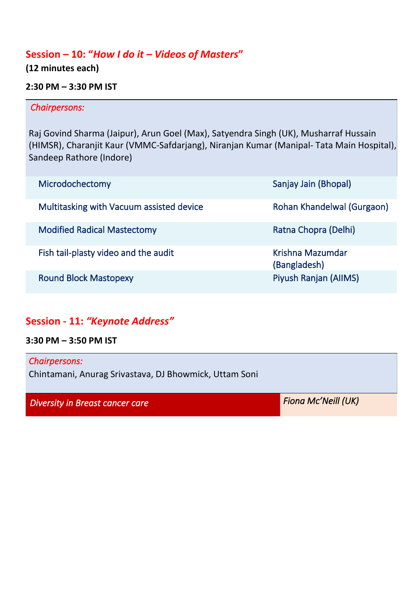### **Session – 10: "***How I do it – Videos of Masters***"**

**(12 minutes each)**

#### **2:30 PM – 3:30 PM IST**

#### *Chairpersons:*

Raj Govind Sharma (Jaipur), Arun Goel (Max), Satyendra Singh (UK), Musharraf Hussain (HIMSR), Charanjit Kaur (VMMC-Safdarjang), Niranjan Kumar (Manipal- Tata Main Hospital), Sandeep Rathore (Indore)

| Microdochectomy                          | Sanjay Jain (Bhopal)             |
|------------------------------------------|----------------------------------|
| Multitasking with Vacuum assisted device | Rohan Khandelwal (Gurgaon)       |
| <b>Modified Radical Mastectomy</b>       | Ratna Chopra (Delhi)             |
| Fish tail-plasty video and the audit     | Krishna Mazumdar<br>(Bangladesh) |
| <b>Round Block Mastopexy</b>             | Piyush Ranjan (AllMS)            |

### **Session - 11:** *"Keynote Address"*

**3:30 PM – 3:50 PM IST**

*Chairpersons:*  Chintamani, Anurag Srivastava, DJ Bhowmick, Uttam Soni

*Diversity in Breast cancer care* Figure 7.1 *Diversity in Breast cancer care* Figure 7.1 *PH*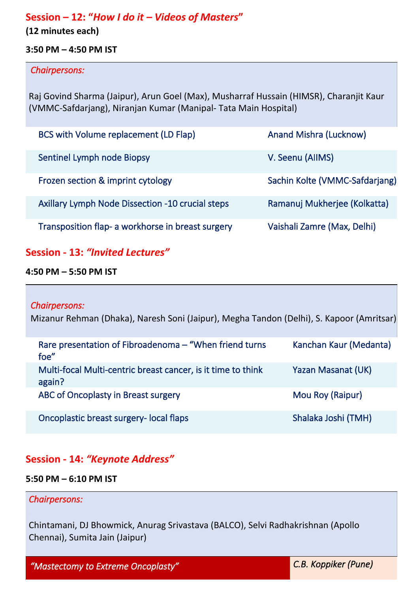### **Session – 12: "***How I do it – Videos of Masters***"**

**(12 minutes each)**

#### **3:50 PM – 4:50 PM IST**

#### *Chairpersons:*

Raj Govind Sharma (Jaipur), Arun Goel (Max), Musharraf Hussain (HIMSR), Charanjit Kaur (VMMC-Safdarjang), Niranjan Kumar (Manipal- Tata Main Hospital)

| BCS with Volume replacement (LD Flap)                   | <b>Anand Mishra (Lucknow)</b>  |
|---------------------------------------------------------|--------------------------------|
| Sentinel Lymph node Biopsy                              | V. Seenu (AllMS)               |
| Frozen section & imprint cytology                       | Sachin Kolte (VMMC-Safdarjang) |
| <b>Axillary Lymph Node Dissection -10 crucial steps</b> | Ramanuj Mukherjee (Kolkatta)   |
| Transposition flap- a workhorse in breast surgery       | Vaishali Zamre (Max, Delhi)    |

### **Session - 13:** *"Invited Lectures"*

#### **4:50 PM – 5:50 PM IST**

#### *Chairpersons:*

Mizanur Rehman (Dhaka), Naresh Soni (Jaipur), Megha Tandon (Delhi), S. Kapoor (Amritsar)

| Rare presentation of Fibroadenoma - "When friend turns"<br>foe"        | Kanchan Kaur (Medanta) |
|------------------------------------------------------------------------|------------------------|
| Multi-focal Multi-centric breast cancer, is it time to think<br>again? | Yazan Masanat (UK)     |
| ABC of Oncoplasty in Breast surgery                                    | Mou Roy (Raipur)       |
| Oncoplastic breast surgery- local flaps                                | Shalaka Joshi (TMH)    |

#### **Session - 14:** *"Keynote Address"*

#### **5:50 PM – 6:10 PM IST**

#### *Chairpersons:*

Chintamani, DJ Bhowmick, Anurag Srivastava (BALCO), Selvi Radhakrishnan (Apollo Chennai), Sumita Jain (Jaipur)

*"Mastectomy to Extreme Oncoplasty" C.B. Koppiker (Pune)*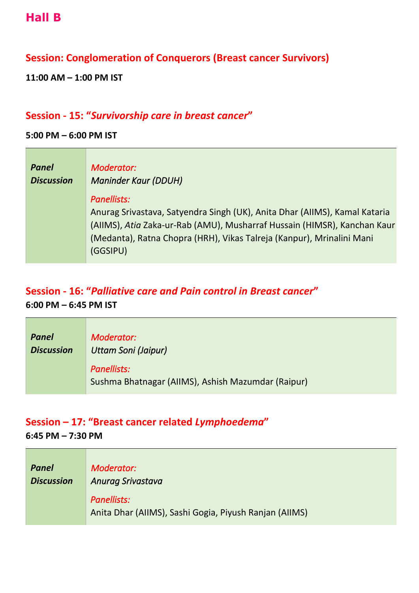### **Session: Conglomeration of Conquerors (Breast cancer Survivors)**

**11:00 AM – 1:00 PM IST**

#### **Session - 15: "***Survivorship care in breast cancer***"**

#### **5:00 PM – 6:00 PM IST**

| <b>Panel</b>      | Moderator:                                                                                                                                                                                                                                                        |
|-------------------|-------------------------------------------------------------------------------------------------------------------------------------------------------------------------------------------------------------------------------------------------------------------|
| <b>Discussion</b> | <b>Maninder Kaur (DDUH)</b>                                                                                                                                                                                                                                       |
|                   | <b>Panellists:</b><br>Anurag Srivastava, Satyendra Singh (UK), Anita Dhar (AIIMS), Kamal Kataria<br>(AIIMS), Atia Zaka-ur-Rab (AMU), Musharraf Hussain (HIMSR), Kanchan Kaur<br>(Medanta), Ratna Chopra (HRH), Vikas Talreja (Kanpur), Mrinalini Mani<br>(GGSIPU) |

# **Session - 16: "***Palliative care and Pain control in Breast cancer***"**

**6:00 PM – 6:45 PM IST**

| <b>Panel</b>      | Moderator:                                                        |
|-------------------|-------------------------------------------------------------------|
| <b>Discussion</b> | Uttam Soni (Jaipur)                                               |
|                   | Panellists:<br>Sushma Bhatnagar (AIIMS), Ashish Mazumdar (Raipur) |

# **Session – 17: "Breast cancer related** *Lymphoedema***"**

**6:45 PM – 7:30 PM**

| Panel             | Moderator:                                                                   |
|-------------------|------------------------------------------------------------------------------|
| <b>Discussion</b> | <b>Anurag Srivastava</b>                                                     |
|                   | <b>Panellists:</b><br>Anita Dhar (AllMS), Sashi Gogia, Piyush Ranjan (AllMS) |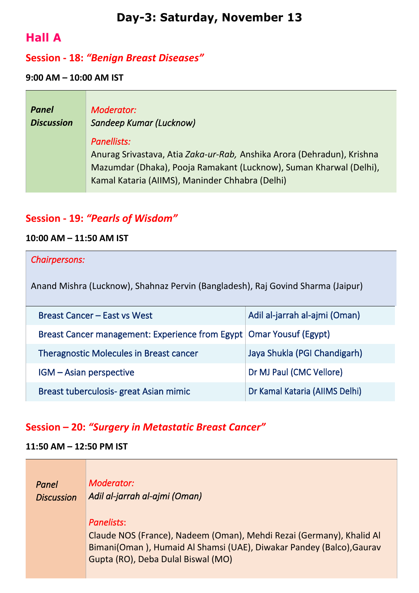# **Day-3: Saturday, November 13**

# **Hall A**

### **Session - 18:** *"Benign Breast Diseases"*

#### **9:00 AM – 10:00 AM IST**

| <b>Panel</b>      | Moderator:                                                                                                                                                                                                     |
|-------------------|----------------------------------------------------------------------------------------------------------------------------------------------------------------------------------------------------------------|
| <b>Discussion</b> | Sandeep Kumar (Lucknow)                                                                                                                                                                                        |
|                   | Panellists:<br>Anurag Srivastava, Atia Zaka-ur-Rab, Anshika Arora (Dehradun), Krishna<br>Mazumdar (Dhaka), Pooja Ramakant (Lucknow), Suman Kharwal (Delhi),<br>Kamal Kataria (AIIMS), Maninder Chhabra (Delhi) |

### **Session - 19:** *"Pearls of Wisdom"*

#### **10:00 AM – 11:50 AM IST**

#### *Chairpersons:*

Anand Mishra (Lucknow), Shahnaz Pervin (Bangladesh), Raj Govind Sharma (Jaipur)

| Breast Cancer – East vs West                                          | Adil al-jarrah al-ajmi (Oman)  |
|-----------------------------------------------------------------------|--------------------------------|
| Breast Cancer management: Experience from Egypt   Omar Yousuf (Egypt) |                                |
| <b>Theragnostic Molecules in Breast cancer</b>                        | Jaya Shukla (PGI Chandigarh)   |
| IGM - Asian perspective                                               | Dr MJ Paul (CMC Vellore)       |
| Breast tuberculosis- great Asian mimic                                | Dr Kamal Kataria (AllMS Delhi) |

### **Session – 20:** *"Surgery in Metastatic Breast Cancer"*

#### **11:50 AM – 12:50 PM IST**

*Panel Discussion Moderator: Adil al-jarrah al-ajmi (Oman) Panelists*: Claude NOS (France), Nadeem (Oman), Mehdi Rezai (Germany), Khalid Al Bimani(Oman ), Humaid Al Shamsi (UAE), Diwakar Pandey (Balco),Gaurav Gupta (RO), Deba Dulal Biswal (MO)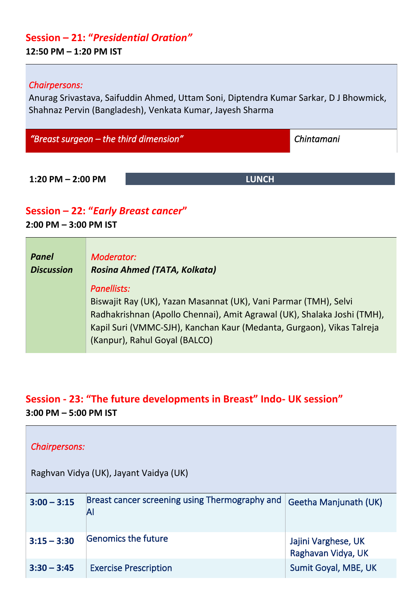# **Session – 21: "***Presidential Oration"*

#### **12:50 PM – 1:20 PM IST**

#### *Chairpersons:*

Anurag Srivastava, Saifuddin Ahmed, Uttam Soni, Diptendra Kumar Sarkar, D J Bhowmick, Shahnaz Pervin (Bangladesh), Venkata Kumar, Jayesh Sharma

*"Breast surgeon – the third dimension" Chintamani* 

**1:20 PM – 2:00 PM LUNCH**

#### **Session – 22: "***Early Breast cancer***"**

**2:00 PM – 3:00 PM IST**

| Panel             | Moderator:                                                                                                                                                                                                                                                                  |
|-------------------|-----------------------------------------------------------------------------------------------------------------------------------------------------------------------------------------------------------------------------------------------------------------------------|
| <b>Discussion</b> | <b>Rosina Ahmed (TATA, Kolkata)</b>                                                                                                                                                                                                                                         |
|                   | <b>Panellists:</b><br>Biswajit Ray (UK), Yazan Masannat (UK), Vani Parmar (TMH), Selvi<br>Radhakrishnan (Apollo Chennai), Amit Agrawal (UK), Shalaka Joshi (TMH),<br>Kapil Suri (VMMC-SJH), Kanchan Kaur (Medanta, Gurgaon), Vikas Talreja<br>(Kanpur), Rahul Goyal (BALCO) |

# **Session - 23: "The future developments in Breast" Indo- UK session" 3:00 PM – 5:00 PM IST**

| <b>Chairpersons:</b>                   |                                                      |                                           |  |
|----------------------------------------|------------------------------------------------------|-------------------------------------------|--|
| Raghvan Vidya (UK), Jayant Vaidya (UK) |                                                      |                                           |  |
| $3:00 - 3:15$                          | Breast cancer screening using Thermography and<br>Al | Geetha Manjunath (UK)                     |  |
| $3:15 - 3:30$                          | <b>Genomics the future</b>                           | Jajini Varghese, UK<br>Raghavan Vidya, UK |  |
| $3:30 - 3:45$                          | <b>Exercise Prescription</b>                         | Sumit Goyal, MBE, UK                      |  |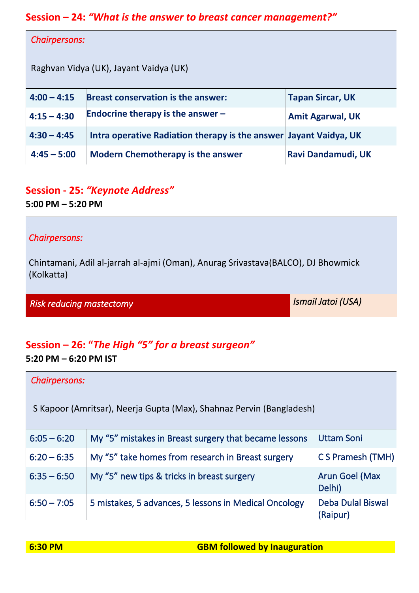### **Session – 24:** *"What is the answer to breast cancer management?"*

| <b>Chairpersons:</b>                   |                                                                   |                         |  |
|----------------------------------------|-------------------------------------------------------------------|-------------------------|--|
| Raghvan Vidya (UK), Jayant Vaidya (UK) |                                                                   |                         |  |
| $4:00 - 4:15$                          | <b>Breast conservation is the answer:</b>                         | <b>Tapan Sircar, UK</b> |  |
| $4:15 - 4:30$                          | Endocrine therapy is the answer $-$                               | <b>Amit Agarwal, UK</b> |  |
| $4:30 - 4:45$                          | Intra operative Radiation therapy is the answer Jayant Vaidya, UK |                         |  |
| $4:45 - 5:00$                          | <b>Modern Chemotherapy is the answer</b>                          | Ravi Dandamudi, UK      |  |

# **Session - 25:** *"Keynote Address"*

**5:00 PM – 5:20 PM**

#### *Chairpersons:*

Chintamani, Adil al-jarrah al-ajmi (Oman), Anurag Srivastava(BALCO), DJ Bhowmick (Kolkatta)

*Risk reducing mastectomy* 

# **Session – 26: "***The High "5" for a breast surgeon"*

**5:20 PM – 6:20 PM IST**

| <b>Chairpersons:</b>                                                 |                                                       |                                      |  |
|----------------------------------------------------------------------|-------------------------------------------------------|--------------------------------------|--|
| S Kapoor (Amritsar), Neerja Gupta (Max), Shahnaz Pervin (Bangladesh) |                                                       |                                      |  |
| $6:05 - 6:20$                                                        | My "5" mistakes in Breast surgery that became lessons | Uttam Soni                           |  |
| $6:20 - 6:35$                                                        | My "5" take homes from research in Breast surgery     | C S Pramesh (TMH)                    |  |
| $6:35 - 6:50$                                                        | My "5" new tips & tricks in breast surgery            | <b>Arun Goel (Max</b><br>Delhi)      |  |
| $6:50 - 7:05$                                                        | 5 mistakes, 5 advances, 5 lessons in Medical Oncology | <b>Deba Dulal Biswal</b><br>(Raipur) |  |

*Ismail Jatoi (USA)*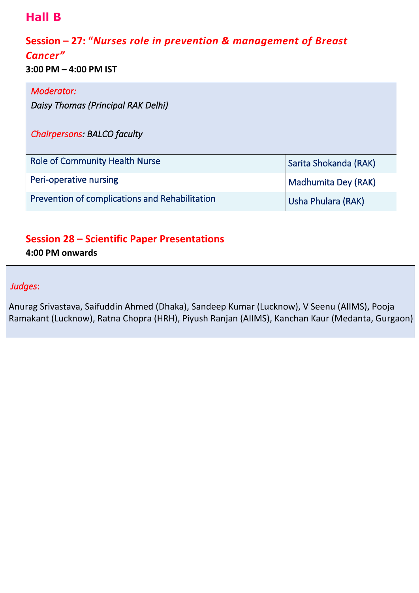# **Hall B**

# **Session – 27: "***Nurses role in prevention & management of Breast*

#### *Cancer"*

**3:00 PM – 4:00 PM IST**

| Moderator:                                     |                       |
|------------------------------------------------|-----------------------|
| Daisy Thomas (Principal RAK Delhi)             |                       |
| <b>Chairpersons: BALCO faculty</b>             |                       |
| <b>Role of Community Health Nurse</b>          | Sarita Shokanda (RAK) |
| Peri-operative nursing<br>Madhumita Dey (RAK)  |                       |
| Prevention of complications and Rehabilitation | Usha Phulara (RAK)    |

# **Session 28 – Scientific Paper Presentations**

**4:00 PM onwards**

#### *Judges*:

Anurag Srivastava, Saifuddin Ahmed (Dhaka), Sandeep Kumar (Lucknow), V Seenu (AIIMS), Pooja Ramakant (Lucknow), Ratna Chopra (HRH), Piyush Ranjan (AIIMS), Kanchan Kaur (Medanta, Gurgaon)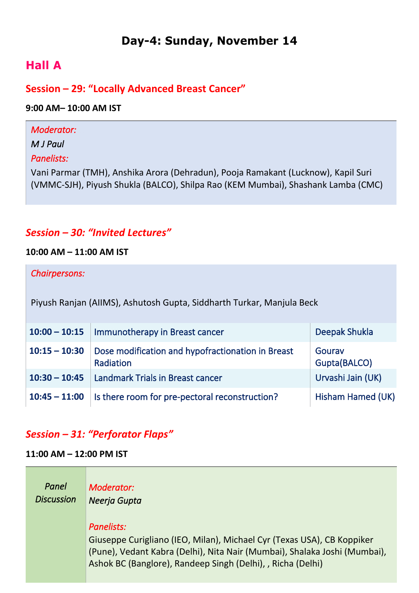# **Day-4: Sunday, November 14**

# **Hall A**

### **Session – 29: "Locally Advanced Breast Cancer"**

#### **9:00 AM– 10:00 AM IST**

| Moderator:                                                                        |
|-----------------------------------------------------------------------------------|
| M J Paul                                                                          |
| Panelists:                                                                        |
| Vani Parmar (TMH), Anshika Arora (Dehradun), Pooja Ramakant (Lucknow), Kapil Suri |
| (VMMC-SJH), Piyush Shukla (BALCO), Shilpa Rao (KEM Mumbai), Shashank Lamba (CMC)  |
|                                                                                   |
|                                                                                   |

### *Session – 30: "Invited Lectures"*

#### **10:00 AM – 11:00 AM IST**

| Chairpersons: |  |
|---------------|--|
|               |  |

Piyush Ranjan (AIIMS), Ashutosh Gupta, Siddharth Turkar, Manjula Beck

| $10:00 - 10:15$ | Immunotherapy in Breast cancer                                 | Deepak Shukla          |
|-----------------|----------------------------------------------------------------|------------------------|
| $10:15 - 10:30$ | Dose modification and hypofractionation in Breast<br>Radiation | Gourav<br>Gupta(BALCO) |
| $10:30 - 10:45$ | Landmark Trials in Breast cancer                               | Urvashi Jain (UK)      |
| $10:45 - 11:00$ | Is there room for pre-pectoral reconstruction?                 | Hisham Hamed (UK)      |

### *Session – 31: "Perforator Flaps"*

#### **11:00 AM – 12:00 PM IST**

*Panel Discussion Moderator: Neerja Gupta Panelists:*  Giuseppe Curigliano (IEO, Milan), Michael Cyr (Texas USA), CB Koppiker (Pune), Vedant Kabra (Delhi), Nita Nair (Mumbai), Shalaka Joshi (Mumbai), Ashok BC (Banglore), Randeep Singh (Delhi), , Richa (Delhi)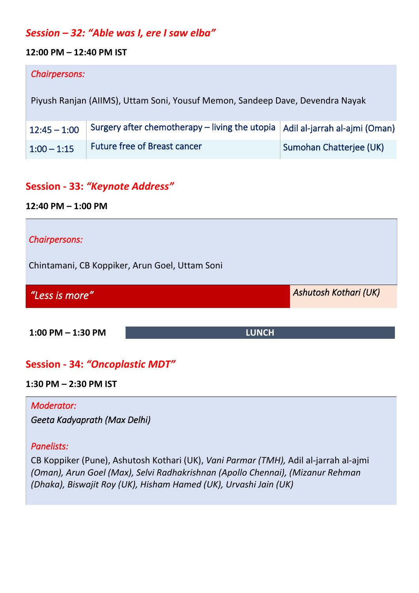### *Session – 32: "Able was I, ere I saw elba"*

#### **12:00 PM – 12:40 PM IST**

#### *Chairpersons:*

Piyush Ranjan (AIIMS), Uttam Soni, Yousuf Memon, Sandeep Dave, Devendra Nayak

|               | $\mid$ 12:45 – 1:00 $\mid$ Surgery after chemotherapy – living the utopia $\mid$ Adil al-jarrah al-ajmi (Oman) |                         |
|---------------|----------------------------------------------------------------------------------------------------------------|-------------------------|
| $1:00 - 1:15$ | Future free of Breast cancer                                                                                   | Sumohan Chatterjee (UK) |

## **Session - 33:** *"Keynote Address"*

**12:40 PM – 1:00 PM**

# *Chairpersons:*  Chintamani, CB Koppiker, Arun Goel, Uttam Soni *"Less is more" Ashutosh Kothari (UK)*  **1:00 PM – 1:30 PM LUNCH**

# **Session - 34:** *"Oncoplastic MDT"*

#### **1:30 PM – 2:30 PM IST**

*Moderator: Geeta Kadyaprath (Max Delhi)* 

*Panelists:* 

CB Koppiker (Pune), Ashutosh Kothari (UK), *Vani Parmar (TMH),* Adil al-jarrah al-ajmi *(Oman), Arun Goel (Max), Selvi Radhakrishnan (Apollo Chennai), (Mizanur Rehman (Dhaka), Biswajit Roy (UK), Hisham Hamed (UK), Urvashi Jain (UK)*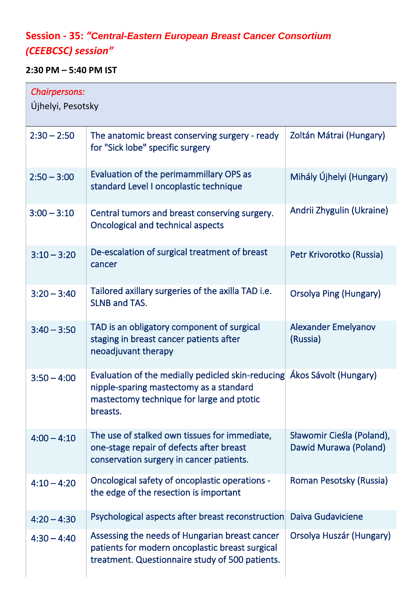# **Session - 35:** *"Central-Eastern European Breast Cancer Consortium (CEEBCSC) session"*

## **2:30 PM – 5:40 PM IST**

| Chairpersons:<br>Újhelyi, Pesotsky |                                                                                                                                                                             |                                                    |  |
|------------------------------------|-----------------------------------------------------------------------------------------------------------------------------------------------------------------------------|----------------------------------------------------|--|
| $2:30 - 2:50$                      | The anatomic breast conserving surgery - ready<br>for "Sick lobe" specific surgery                                                                                          | Zoltán Mátrai (Hungary)                            |  |
| $2:50 - 3:00$                      | Evaluation of the perimammillary OPS as<br>standard Level I oncoplastic technique                                                                                           | Mihály Újhelyi (Hungary)                           |  |
| $3:00 - 3:10$                      | Central tumors and breast conserving surgery.<br>Oncological and technical aspects                                                                                          | Andrii Zhygulin (Ukraine)                          |  |
| $3:10 - 3:20$                      | De-escalation of surgical treatment of breast<br>cancer                                                                                                                     | Petr Krivorotko (Russia)                           |  |
| $3:20 - 3:40$                      | Tailored axillary surgeries of the axilla TAD i.e.<br><b>SLNB and TAS.</b>                                                                                                  | <b>Orsolya Ping (Hungary)</b>                      |  |
| $3:40 - 3:50$                      | TAD is an obligatory component of surgical<br>staging in breast cancer patients after<br>neoadjuvant therapy                                                                | Alexander Emelyanov<br>(Russia)                    |  |
| $3:50 - 4:00$                      | Evaluation of the medially pedicled skin-reducing Akos Sávolt (Hungary)<br>nipple-sparing mastectomy as a standard<br>mastectomy technique for large and ptotic<br>breasts. |                                                    |  |
| $4:00 - 4:10$                      | The use of stalked own tissues for immediate,<br>one-stage repair of defects after breast<br>conservation surgery in cancer patients.                                       | Sławomir Cieśla (Poland),<br>Dawid Murawa (Poland) |  |
| $4:10 - 4:20$                      | Oncological safety of oncoplastic operations -<br>the edge of the resection is important                                                                                    | Roman Pesotsky (Russia)                            |  |
| $4:20 - 4:30$                      | Psychological aspects after breast reconstruction                                                                                                                           | Daiva Gudaviciene                                  |  |
| $4:30 - 4:40$                      | Assessing the needs of Hungarian breast cancer<br>patients for modern oncoplastic breast surgical<br>treatment. Questionnaire study of 500 patients.                        | Orsolya Huszár (Hungary)                           |  |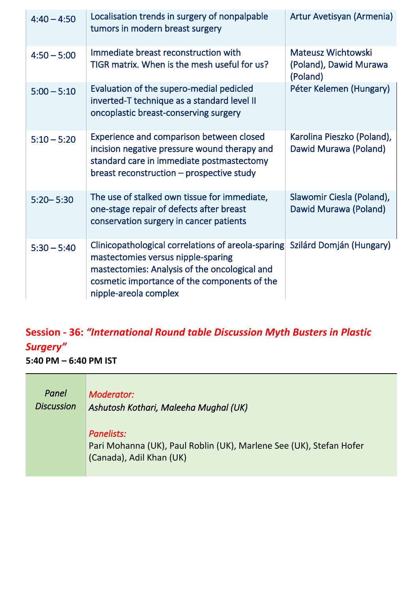| $4:40 - 4:50$ | Localisation trends in surgery of nonpalpable<br>tumors in modern breast surgery                                                                                                                                   | Artur Avetisyan (Armenia)                                |
|---------------|--------------------------------------------------------------------------------------------------------------------------------------------------------------------------------------------------------------------|----------------------------------------------------------|
| $4:50 - 5:00$ | Immediate breast reconstruction with<br>TIGR matrix. When is the mesh useful for us?                                                                                                                               | Mateusz Wichtowski<br>(Poland), Dawid Murawa<br>(Poland) |
| $5:00 - 5:10$ | Evaluation of the supero-medial pedicled<br>inverted-T technique as a standard level II<br>oncoplastic breast-conserving surgery                                                                                   | Péter Kelemen (Hungary)                                  |
| $5:10 - 5:20$ | Experience and comparison between closed<br>incision negative pressure wound therapy and<br>standard care in immediate postmastectomy<br>breast reconstruction – prospective study                                 | Karolina Pieszko (Poland),<br>Dawid Murawa (Poland)      |
| $5:20 - 5:30$ | The use of stalked own tissue for immediate,<br>one-stage repair of defects after breast<br>conservation surgery in cancer patients                                                                                | Slawomir Ciesla (Poland),<br>Dawid Murawa (Poland)       |
| $5:30 - 5:40$ | Clinicopathological correlations of areola-sparing<br>mastectomies versus nipple-sparing<br>mastectomies: Analysis of the oncological and<br>cosmetic importance of the components of the<br>nipple-areola complex | Szilárd Domján (Hungary)                                 |

# **Session - 36:** *"International Round table Discussion Myth Busters in Plastic Surgery"*

**5:40 PM – 6:40 PM IST**

| Panel             | Moderator:                                                                                                    |
|-------------------|---------------------------------------------------------------------------------------------------------------|
| <b>Discussion</b> | Ashutosh Kothari, Maleeha Mughal (UK)                                                                         |
|                   | Panelists:<br>Pari Mohanna (UK), Paul Roblin (UK), Marlene See (UK), Stefan Hofer<br>(Canada), Adil Khan (UK) |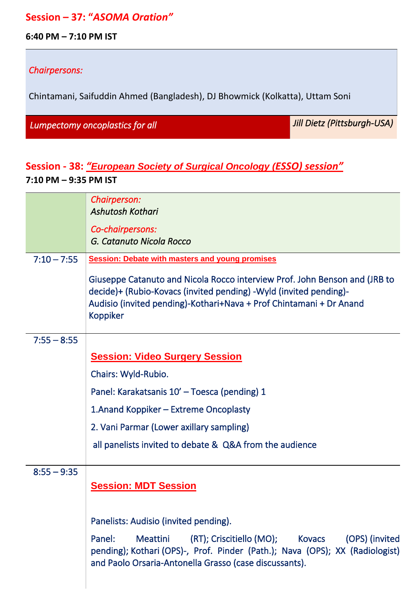#### **Session – 37: "***ASOMA Oration"*

**6:40 PM – 7:10 PM IST**

#### *Chairpersons:*

Chintamani, Saifuddin Ahmed (Bangladesh), DJ Bhowmick (Kolkatta), Uttam Soni

*Lumpectomy oncoplastics for all* 

*Jill Dietz (Pittsburgh-USA)* 

# **Session - 38:** *"European Society of Surgical Oncology (ESSO) session"* **7:10 PM – 9:35 PM IST**

|               | Chairperson:<br><b>Ashutosh Kothari</b>                                                                                                                                                                                                   |  |
|---------------|-------------------------------------------------------------------------------------------------------------------------------------------------------------------------------------------------------------------------------------------|--|
|               | Co-chairpersons:<br>G. Catanuto Nicola Rocco                                                                                                                                                                                              |  |
| $7:10 - 7:55$ | <b>Session: Debate with masters and young promises</b>                                                                                                                                                                                    |  |
|               | Giuseppe Catanuto and Nicola Rocco interview Prof. John Benson and (JRB to<br>decide)+ (Rubio-Kovacs (invited pending) -Wyld (invited pending)-<br>Audisio (invited pending)-Kothari+Nava + Prof Chintamani + Dr Anand<br><b>Koppiker</b> |  |
| $7:55 - 8:55$ |                                                                                                                                                                                                                                           |  |
|               | <b>Session: Video Surgery Session</b>                                                                                                                                                                                                     |  |
|               | Chairs: Wyld-Rubio.                                                                                                                                                                                                                       |  |
|               | Panel: Karakatsanis 10' - Toesca (pending) 1                                                                                                                                                                                              |  |
|               | 1. Anand Koppiker – Extreme Oncoplasty                                                                                                                                                                                                    |  |
|               | 2. Vani Parmar (Lower axillary sampling)                                                                                                                                                                                                  |  |
|               | all panelists invited to debate & Q&A from the audience                                                                                                                                                                                   |  |
| $8:55 - 9:35$ |                                                                                                                                                                                                                                           |  |
|               | <b>Session: MDT Session</b>                                                                                                                                                                                                               |  |
|               | Panelists: Audisio (invited pending).                                                                                                                                                                                                     |  |
|               | Panel:<br><b>Meattini</b><br>(OPS) (invited<br>pending); Kothari (OPS)-, Prof. Pinder (Path.); Nava (OPS); XX (Radiologist)<br>and Paolo Orsaria-Antonella Grasso (case discussants).                                                     |  |